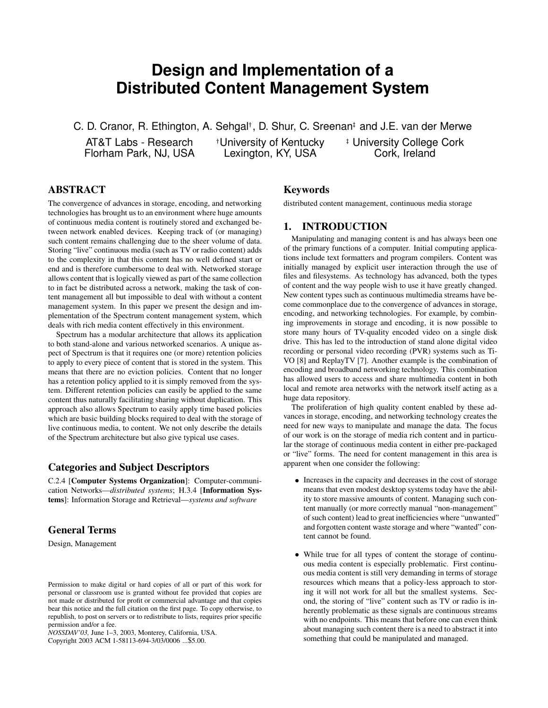# **Design and Implementation of a Distributed Content Management System**

C. D. Cranor, R. Ethington, A. Sehgal<sup>†</sup>, D. Shur, C. Sreenan<sup>‡</sup> and J.E. van der Merwe

AT&T Labs - Research i University of Kentuck<br>Florham Park, NJ, USA Lexington, KY, USA Florham Park, NJ, USA

University of Kentucky

<sup>‡</sup> University College Cork<br>Cork, Ireland

# **ABSTRACT**

The convergence of advances in storage, encoding, and networking technologies has brought us to an environment where huge amounts of continuous media content is routinely stored and exchanged between network enabled devices. Keeping track of (or managing) such content remains challenging due to the sheer volume of data. Storing "live" continuous media (such as TV or radio content) adds to the complexity in that this content has no well defined start or end and is therefore cumbersome to deal with. Networked storage allows content that islogically viewed as part of the same collection to in fact be distributed across a network, making the task of content management all but impossible to deal with without a content management system. In this paper we present the design and implementation of the Spectrum content management system, which deals with rich media content effectively in this environment.

Spectrum has a modular architecture that allows its application to both stand-alone and various networked scenarios. A unique aspect of Spectrum is that it requires one (or more) retention policies to apply to every piece of content that is stored in the system. This means that there are no eviction policies. Content that no longer has a retention policy applied to it is simply removed from the system. Different retention policies can easily be applied to the same content thus naturally facilitating sharing without duplication. This approach also allows Spectrum to easily apply time based policies which are basic building blocks required to deal with the storage of live continuous media, to content. We not only describe the details of the Spectrum architecture but also give typical use cases.

## **Categories and Subject Descriptors**

C.2.4 [**Computer Systems Organization**]: Computer-communication Networks—*distributed systems*; H.3.4 [**Information Systems**]: Information Storage and Retrieval—*systems and software*

# **General Terms**

Design, Management

Copyright 2003 ACM 1-58113-694-3/03/0006 ...\$5.00.

# **Keywords**

distributed content management, continuous media storage

## **1. INTRODUCTION**

Manipulating and managing content is and has always been one of the primary functions of a computer. Initial computing applications include text formatters and program compilers. Content was initially managed by explicit user interaction through the use of files and filesystems. As technology has advanced, both the types of content and the way people wish to use it have greatly changed. New content types such as continuous multimedia streams have become commonplace due to the convergence of advances in storage, encoding, and networking technologies. For example, by combining improvements in storage and encoding, it is now possible to store many hours of TV-quality encoded video on a single disk drive. This has led to the introduction of stand alone digital video recording or personal video recording (PVR) systems such as Ti-VO [8] and ReplayTV [7]. Another example is the combination of encoding and broadband networking technology. This combination has allowed users to access and share multimedia content in both local and remote area networks with the network itself acting as a huge data repository.

The proliferation of high quality content enabled by these advances in storage, encoding, and networking technology creates the need for new ways to manipulate and manage the data. The focus of our work is on the storage of media rich content and in particular the storage of continuous media content in either pre-packaged or "live" forms. The need for content management in this area is apparent when one consider the following:

- Increases in the capacity and decreases in the cost of storage means that even modest desktop systems today have the ability to store massive amounts of content. Managing such content manually (or more correctly manual "non-management" of such content) lead to great inefficiencies where "unwanted" and forgotten content waste storage and where "wanted" content cannot be found.
- While true for all types of content the storage of continuous media content is especially problematic. First continuous media content is still very demanding in terms of storage resources which means that a policy-less approach to storing it will not work for all but the smallest systems. Second, the storing of "live" content such as TV or radio is inherently problematic as these signals are continuous streams with no endpoints. This means that before one can even think about managing such content there is a need to abstract it into something that could be manipulated and managed.

Permission to make digital or hard copies of all or part of this work for personal or classroom use is granted without fee provided that copies are not made or distributed for profit or commercial advantage and that copies bear this notice and the full citation on the first page. To copy otherwise, to republish, to post on servers or to redistribute to lists, requires prior specific permission and/or a fee.

*NOSSDAV'03,* June 1–3, 2003, Monterey, California, USA.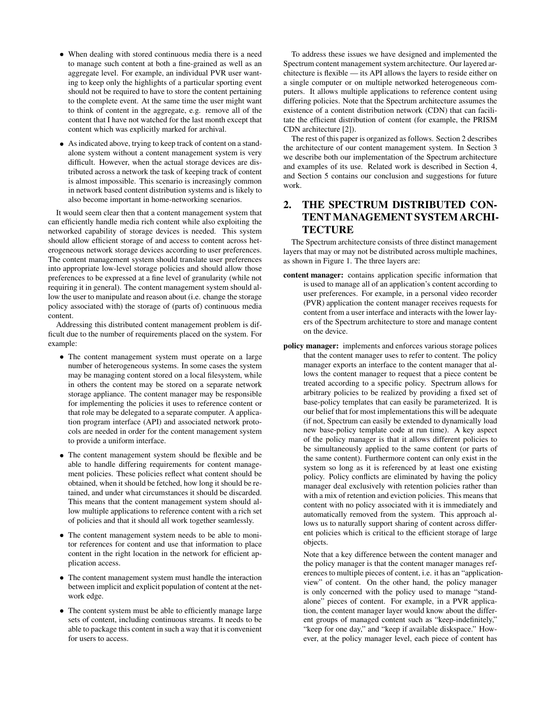- -When dealing with stored continuous media there is a need to manage such content at both a fine-grained as well as an aggregate level. For example, an individual PVR user wanting to keep only the highlights of a particular sporting event should not be required to have to store the content pertaining to the complete event. At the same time the user might want to think of content in the aggregate, e.g. remove all of the content that I have not watched for the last month except that content which was explicitly marked for archival.
- Asindicated above, trying to keep track of content on a standalone system without a content management system is very difficult. However, when the actual storage devices are distributed across a network the task of keeping track of content is almost impossible. This scenario is increasingly common in network based content distribution systems and is likely to also become important in home-networking scenarios.

It would seem clear then that a content management system that can efficiently handle media rich content while also exploiting the networked capability of storage devices is needed. This system should allow efficient storage of and access to content across heterogeneous network storage devices according to user preferences. The content management system should translate user preferences into appropriate low-level storage policies and should allow those preferences to be expressed at a fine level of granularity (while not requiring it in general). The content management system should allow the user to manipulate and reason about (i.e. change the storage policy associated with) the storage of (parts of) continuous media content.

Addressing this distributed content management problem is difficult due to the number of requirements placed on the system. For example:

- The content management system must operate on a large number of heterogeneous systems. In some cases the system may be managing content stored on a local filesystem, while in others the content may be stored on a separate network storage appliance. The content manager may be responsible for implementing the policies it uses to reference content or that role may be delegated to a separate computer. A application program interface (API) and associated network protocols are needed in order for the content management system to provide a uniform interface.
- The content management system should be flexible and be able to handle differing requirements for content management policies. These policies reflect what content should be obtained, when it should be fetched, how long it should be retained, and under what circumstances it should be discarded. This means that the content management system should allow multiple applications to reference content with a rich set of policies and that it should all work together seamlessly.
- The content management system needs to be able to monitor references for content and use that information to place content in the right location in the network for efficient application access.
- The content management system must handle the interaction between implicit and explicit population of content at the network edge.
- The content system must be able to efficiently manage large sets of content, including continuous streams. It needs to be able to package this content in such a way that it is convenient for users to access.

To address these issues we have designed and implemented the Spectrum content management system architecture. Our layered architecture is flexible — its API allows the layers to reside either on a single computer or on multiple networked heterogeneous computers. It allows multiple applications to reference content using differing policies. Note that the Spectrum architecture assumes the existence of a content distribution network (CDN) that can facilitate the efficient distribution of content (for example, the PRISM CDN architecture [2]).

The rest of this paper is organized as follows. Section 2 describes the architecture of our content management system. In Section 3 we describe both our implementation of the Spectrum architecture and examples of its use. Related work is described in Section 4, and Section 5 contains our conclusion and suggestions for future work.

# **2. THE SPECTRUM DISTRIBUTED CON-TENTMANAGEMENTSYSTEMARCHI-TECTURE**

The Spectrum architecture consists of three distinct management layers that may or may not be distributed across multiple machines, as shown in Figure 1. The three layers are:

- **content manager:** contains application specific information that is used to manage all of an application's content according to user preferences. For example, in a personal video recorder (PVR) application the content manager receives requests for content from a user interface and interacts with the lower layers of the Spectrum architecture to store and manage content on the device.
- **policy manager:** implements and enforces various storage polices that the content manager uses to refer to content. The policy manager exports an interface to the content manager that allows the content manager to request that a piece content be treated according to a specific policy. Spectrum allows for arbitrary policies to be realized by providing a fixed set of base-policy templates that can easily be parameterized. It is our belief that for most implementations this will be adequate (if not, Spectrum can easily be extended to dynamically load new base-policy template code at run time). A key aspect of the policy manager is that it allows different policies to be simultaneously applied to the same content (or parts of the same content). Furthermore content can only exist in the system so long as it is referenced by at least one existing policy. Policy conflicts are eliminated by having the policy manager deal exclusively with retention policies rather than with a mix of retention and eviction policies. This means that content with no policy associated with it is immediately and automatically removed from the system. This approach allows us to naturally support sharing of content across different policies which is critical to the efficient storage of large objects.

Note that a key difference between the content manager and the policy manager is that the content manager manages references to multiple pieces of content, i.e. it has an "applicationview" of content. On the other hand, the policy manager is only concerned with the policy used to manage "standalone" pieces of content. For example, in a PVR application, the content manager layer would know about the different groups of managed content such as "keep-indefinitely," "keep for one day," and "keep if available diskspace." However, at the policy manager level, each piece of content has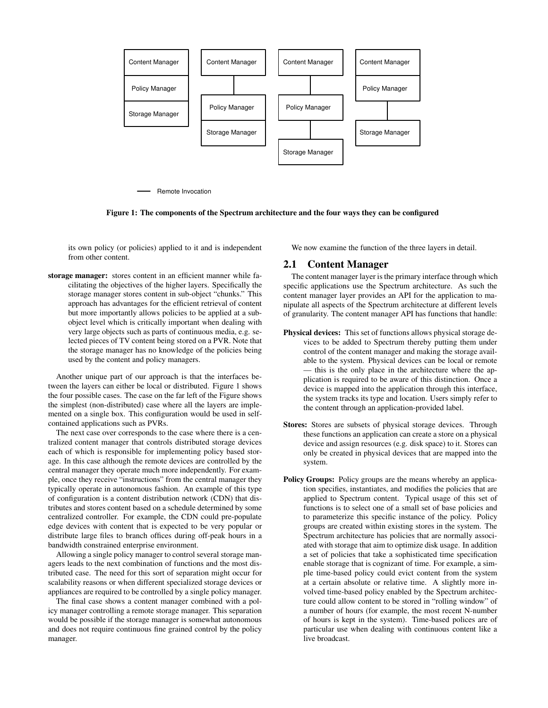

Remote Invocation

**Figure 1: The components of the Spectrum architecture and the four ways they can be configured**

its own policy (or policies) applied to it and is independent from other content.

**storage manager:** stores content in an efficient manner while facilitating the objectives of the higher layers. Specifically the storage manager stores content in sub-object "chunks." This approach has advantages for the efficient retrieval of content but more importantly allows policies to be applied at a subobject level which is critically important when dealing with very large objects such as parts of continuous media, e.g. selected pieces of TV content being stored on a PVR. Note that the storage manager has no knowledge of the policies being used by the content and policy managers.

Another unique part of our approach is that the interfaces between the layers can either be local or distributed. Figure 1 shows the four possible cases. The case on the far left of the Figure shows the simplest (non-distributed) case where all the layers are implemented on a single box. This configuration would be used in selfcontained applications such as PVRs.

The next case over corresponds to the case where there is a centralized content manager that controls distributed storage devices each of which is responsible for implementing policy based storage. In this case although the remote devices are controlled by the central manager they operate much more independently. For example, once they receive "instructions" from the central manager they typically operate in autonomous fashion. An example of this type of configuration is a content distribution network (CDN) that distributes and stores content based on a schedule determined by some centralized controller. For example, the CDN could pre-populate edge devices with content that is expected to be very popular or distribute large files to branch offices during off-peak hours in a bandwidth constrained enterprise environment.

Allowing a single policy manager to control several storage managers leads to the next combination of functions and the most distributed case. The need for this sort of separation might occur for scalability reasons or when different specialized storage devices or appliances are required to be controlled by a single policy manager.

The final case shows a content manager combined with a policy manager controlling a remote storage manager. This separation would be possible if the storage manager is somewhat autonomous and does not require continuous fine grained control by the policy manager.

We now examine the function of the three layers in detail.

#### **2.1 Content Manager**

The content manager layer is the primary interface through which specific applications use the Spectrum architecture. As such the content manager layer provides an API for the application to manipulate all aspects of the Spectrum architecture at different levels of granularity. The content manager API has functions that handle:

- **Physical devices:** This set of functions allows physical storage devices to be added to Spectrum thereby putting them under control of the content manager and making the storage available to the system. Physical devices can be local or remote — this is the only place in the architecture where the application is required to be aware of this distinction. Once a device is mapped into the application through this interface, the system tracks its type and location. Users simply refer to the content through an application-provided label.
- **Stores:** Stores are subsets of physical storage devices. Through these functions an application can create a store on a physical device and assign resources (e.g. disk space) to it. Stores can only be created in physical devices that are mapped into the system.
- **Policy Groups:** Policy groups are the means whereby an application specifies, instantiates, and modifies the policies that are applied to Spectrum content. Typical usage of this set of functions is to select one of a small set of base policies and to parameterize this specific instance of the policy. Policy groups are created within existing stores in the system. The Spectrum architecture has policies that are normally associated with storage that aim to optimize disk usage. In addition a set of policies that take a sophisticated time specification enable storage that is cognizant of time. For example, a simple time-based policy could evict content from the system at a certain absolute or relative time. A slightly more involved time-based policy enabled by the Spectrum architecture could allow content to be stored in "rolling window" of a number of hours (for example, the most recent N-number of hours is kept in the system). Time-based polices are of particular use when dealing with continuous content like a live broadcast.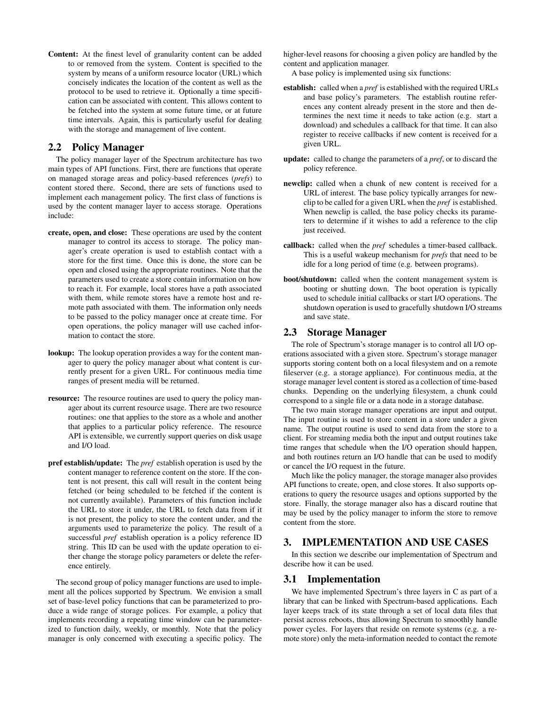**Content:** At the finest level of granularity content can be added to or removed from the system. Content is specified to the system by means of a uniform resource locator (URL) which concisely indicates the location of the content as well as the protocol to be used to retrieve it. Optionally a time specification can be associated with content. This allows content to be fetched into the system at some future time, or at future time intervals. Again, this is particularly useful for dealing with the storage and management of live content.

## **2.2 Policy Manager**

The policy manager layer of the Spectrum architecture has two main types of API functions. First, there are functions that operate on managed storage areas and policy-based references (*prefs*) to content stored there. Second, there are sets of functions used to implement each management policy. The first class of functions is used by the content manager layer to access storage. Operations include:

- **create, open, and close:** These operations are used by the content manager to control its access to storage. The policy manager's create operation is used to establish contact with a store for the first time. Once this is done, the store can be open and closed using the appropriate routines. Note that the parameters used to create a store contain information on how to reach it. For example, local stores have a path associated with them, while remote stores have a remote host and remote path associated with them. The information only needs to be passed to the policy manager once at create time. For open operations, the policy manager will use cached information to contact the store.
- **lookup:** The lookup operation provides a way for the content manager to query the policy manager about what content is currently present for a given URL. For continuous media time ranges of present media will be returned.
- **resource:** The resource routines are used to query the policy manager about its current resource usage. There are two resource routines: one that applies to the store as a whole and another that applies to a particular policy reference. The resource API is extensible, we currently support queries on disk usage and I/O load.
- **pref establish/update:** The *pref* establish operation is used by the content manager to reference content on the store. If the content is not present, this call will result in the content being fetched (or being scheduled to be fetched if the content is not currently available). Parameters of this function include the URL to store it under, the URL to fetch data from if it is not present, the policy to store the content under, and the arguments used to parameterize the policy. The result of a successful *pref* establish operation is a policy reference ID string. This ID can be used with the update operation to either change the storage policy parameters or delete the reference entirely.

The second group of policy manager functions are used to implement all the polices supported by Spectrum. We envision a small set of base-level policy functions that can be parameterized to produce a wide range of storage polices. For example, a policy that implements recording a repeating time window can be parameterized to function daily, weekly, or monthly. Note that the policy manager is only concerned with executing a specific policy. The higher-level reasons for choosing a given policy are handled by the content and application manager.

A base policy is implemented using six functions:

- **establish:** called when a *pref* is established with the required URLs and base policy's parameters. The establish routine references any content already present in the store and then determines the next time it needs to take action (e.g. start a download) and schedules a callback for that time. It can also register to receive callbacks if new content is received for a given URL.
- **update:** called to change the parameters of a *pref*, or to discard the policy reference.
- **newclip:** called when a chunk of new content is received for a URL of interest. The base policy typically arranges for newclip to be called for a given URL when the *pref* is established. When newclip is called, the base policy checks its parameters to determine if it wishes to add a reference to the clip just received.
- **callback:** called when the *pref* schedules a timer-based callback. This is a useful wakeup mechanism for *prefs* that need to be idle for a long period of time (e.g. between programs).
- **boot/shutdown:** called when the content management system is booting or shutting down. The boot operation is typically used to schedule initial callbacks or start I/O operations. The shutdown operation is used to gracefully shutdown I/O streams and save state.

## **2.3 Storage Manager**

The role of Spectrum's storage manager is to control all I/O operations associated with a given store. Spectrum's storage manager supports storing content both on a local filesystem and on a remote fileserver (e.g. a storage appliance). For continuous media, at the storage manager level content is stored as a collection of time-based chunks. Depending on the underlying filesystem, a chunk could correspond to a single file or a data node in a storage database.

The two main storage manager operations are input and output. The input routine is used to store content in a store under a given name. The output routine is used to send data from the store to a client. For streaming media both the input and output routines take time ranges that schedule when the I/O operation should happen, and both routines return an I/O handle that can be used to modify or cancel the I/O request in the future.

Much like the policy manager, the storage manager also provides API functions to create, open, and close stores. It also supports operations to query the resource usages and options supported by the store. Finally, the storage manager also has a discard routine that may be used by the policy manager to inform the store to remove content from the store.

# **3. IMPLEMENTATION AND USE CASES**

In this section we describe our implementation of Spectrum and describe how it can be used.

#### **3.1 Implementation**

We have implemented Spectrum's three layers in C as part of a library that can be linked with Spectrum-based applications. Each layer keeps track of its state through a set of local data files that persist across reboots, thus allowing Spectrum to smoothly handle power cycles. For layers that reside on remote systems (e.g. a remote store) only the meta-information needed to contact the remote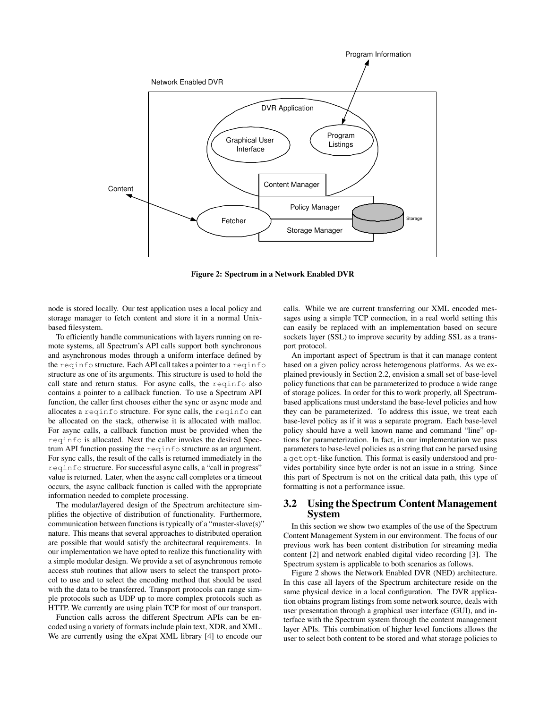

**Figure 2: Spectrum in a Network Enabled DVR**

node is stored locally. Our test application uses a local policy and storage manager to fetch content and store it in a normal Unixbased filesystem.

To efficiently handle communications with layers running on remote systems, all Spectrum's API calls support both synchronous and asynchronous modes through a uniform interface defined by the reqinfo structure. Each API call takes a pointer to a reqinfo structure as one of its arguments. This structure is used to hold the call state and return status. For async calls, the reqinfo also contains a pointer to a callback function. To use a Spectrum API function, the caller first chooses either the sync or async mode and allocates a reqinfo structure. For sync calls, the reqinfo can be allocated on the stack, otherwise it is allocated with malloc. For async calls, a callback function must be provided when the reqinfo is allocated. Next the caller invokes the desired Spectrum API function passing the reqinfo structure as an argument. For sync calls, the result of the calls is returned immediately in the reqinfo structure. For successful async calls, a "call in progress" value is returned. Later, when the async call completes or a timeout occurs, the async callback function is called with the appropriate information needed to complete processing.

The modular/layered design of the Spectrum architecture simplifies the objective of distribution of functionality. Furthermore, communication between functions istypically of a "master-slave(s)" nature. This means that several approaches to distributed operation are possible that would satisfy the architectural requirements. In our implementation we have opted to realize this functionality with a simple modular design. We provide a set of asynchronous remote access stub routines that allow users to select the transport protocol to use and to select the encoding method that should be used with the data to be transferred. Transport protocols can range simple protocols such as UDP up to more complex protocols such as HTTP. We currently are using plain TCP for most of our transport.

Function calls across the different Spectrum APIs can be encoded using a variety of formatsinclude plain text, XDR, and XML. We are currently using the eXpat XML library [4] to encode our calls. While we are current transferring our XML encoded messages using a simple TCP connection, in a real world setting this can easily be replaced with an implementation based on secure sockets layer (SSL) to improve security by adding SSL as a transport protocol.

An important aspect of Spectrum is that it can manage content based on a given policy across heterogenous platforms. As we explained previously in Section 2.2, envision a small set of base-level policy functions that can be parameterized to produce a wide range of storage polices. In order for this to work properly, all Spectrumbased applications must understand the base-level policies and how they can be parameterized. To address this issue, we treat each base-level policy as if it was a separate program. Each base-level policy should have a well known name and command "line" options for parameterization. In fact, in our implementation we pass parameters to base-level policies as a string that can be parsed using a getopt-like function. This format is easily understood and provides portability since byte order is not an issue in a string. Since this part of Spectrum is not on the critical data path, this type of formatting is not a performance issue.

#### **3.2 Using the Spectrum Content Management System**

In this section we show two examples of the use of the Spectrum Content Management System in our environment. The focus of our previous work has been content distribution for streaming media content [2] and network enabled digital video recording [3]. The Spectrum system is applicable to both scenarios as follows.

Figure 2 shows the Network Enabled DVR (NED) architecture. In this case all layers of the Spectrum architecture reside on the same physical device in a local configuration. The DVR application obtains program listings from some network source, deals with user presentation through a graphical user interface (GUI), and interface with the Spectrum system through the content management layer APIs. This combination of higher level functions allows the user to select both content to be stored and what storage policies to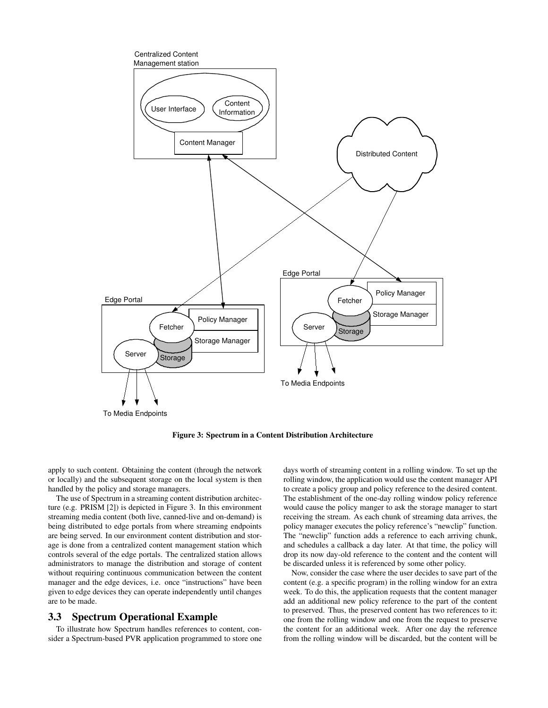

**Figure 3: Spectrum in a Content Distribution Architecture**

apply to such content. Obtaining the content (through the network or locally) and the subsequent storage on the local system is then handled by the policy and storage managers.

The use of Spectrum in a streaming content distribution architecture (e.g. PRISM [2]) is depicted in Figure 3. In this environment streaming media content (both live, canned-live and on-demand) is being distributed to edge portals from where streaming endpoints are being served. In our environment content distribution and storage is done from a centralized content management station which controls several of the edge portals. The centralized station allows administrators to manage the distribution and storage of content without requiring continuous communication between the content manager and the edge devices, i.e. once "instructions" have been given to edge devices they can operate independently until changes are to be made.

#### **3.3 Spectrum Operational Example**

To illustrate how Spectrum handles references to content, consider a Spectrum-based PVR application programmed to store one days worth of streaming content in a rolling window. To set up the rolling window, the application would use the content manager API to create a policy group and policy reference to the desired content. The establishment of the one-day rolling window policy reference would cause the policy manger to ask the storage manager to start receiving the stream. As each chunk of streaming data arrives, the policy manager executes the policy reference's "newclip" function. The "newclip" function adds a reference to each arriving chunk, and schedules a callback a day later. At that time, the policy will drop its now day-old reference to the content and the content will be discarded unless it is referenced by some other policy.

Now, consider the case where the user decides to save part of the content (e.g. a specific program) in the rolling window for an extra week. To do this, the application requests that the content manager add an additional new policy reference to the part of the content to preserved. Thus, the preserved content has two references to it: one from the rolling window and one from the request to preserve the content for an additional week. After one day the reference from the rolling window will be discarded, but the content will be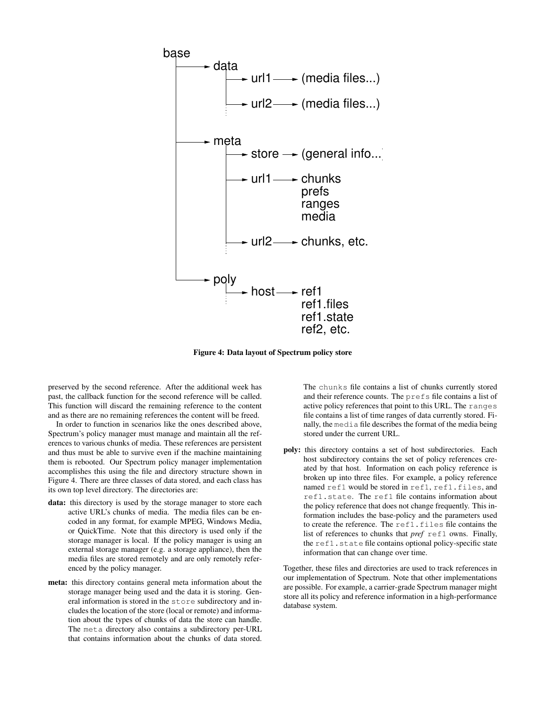

**Figure 4: Data layout of Spectrum policy store**

preserved by the second reference. After the additional week has past, the callback function for the second reference will be called. This function will discard the remaining reference to the content and as there are no remaining references the content will be freed.

In order to function in scenarios like the ones described above, Spectrum's policy manager must manage and maintain all the references to various chunks of media. These references are persistent and thus must be able to survive even if the machine maintaining them is rebooted. Our Spectrum policy manager implementation accomplishes this using the file and directory structure shown in Figure 4. There are three classes of data stored, and each class has its own top level directory. The directories are:

- **data:** this directory is used by the storage manager to store each active URL's chunks of media. The media files can be encoded in any format, for example MPEG, Windows Media, or QuickTime. Note that this directory is used only if the storage manager is local. If the policy manager is using an external storage manager (e.g. a storage appliance), then the media files are stored remotely and are only remotely referenced by the policy manager.
- **meta:** this directory contains general meta information about the storage manager being used and the data it is storing. General information is stored in the store subdirectory and includes the location of the store (local or remote) and information about the types of chunks of data the store can handle. The meta directory also contains a subdirectory per-URL that contains information about the chunks of data stored.

The chunks file contains a list of chunks currently stored and their reference counts. The prefs file contains a list of active policy references that point to this URL. The ranges file contains a list of time ranges of data currently stored. Finally, the media file describes the format of the media being stored under the current URL.

**poly:** this directory contains a set of host subdirectories. Each host subdirectory contains the set of policy references created by that host. Information on each policy reference is broken up into three files. For example, a policy reference named ref1 would be stored in ref1, ref1.files, and ref1.state. The ref1 file contains information about the policy reference that does not change frequently. This information includes the base-policy and the parameters used to create the reference. The ref1.files file contains the list of references to chunks that *pref* ref1 owns. Finally, the ref1.state file contains optional policy-specific state information that can change over time.

Together, these files and directories are used to track references in our implementation of Spectrum. Note that other implementations are possible. For example, a carrier-grade Spectrum manager might store all its policy and reference information in a high-performance database system.